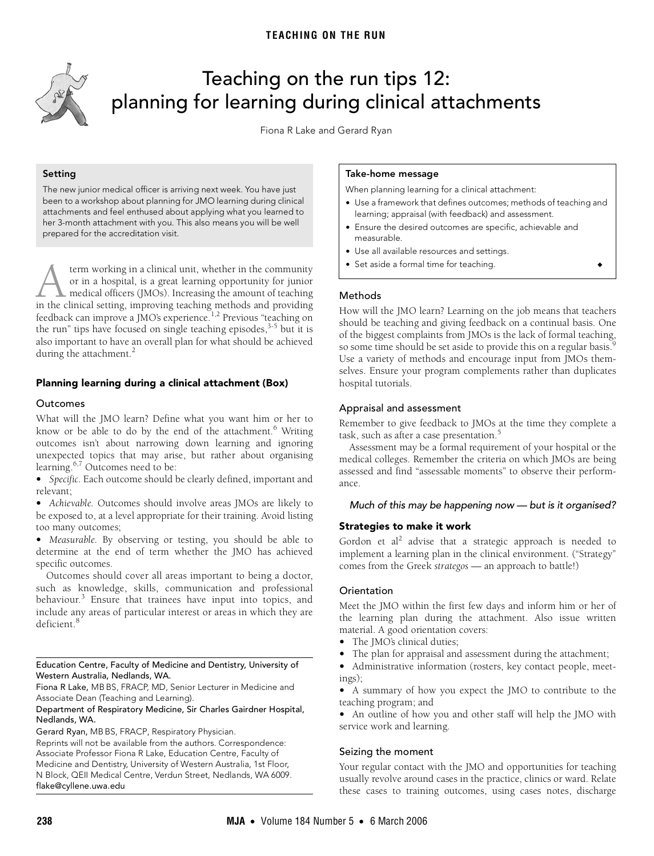<span id="page-0-0"></span>

# Teaching on the run tips 12: planning for learning during clinical attachments

Fiona R Lake and Gerard Ryan

## **Setting**

The new junior medical officer is arriving next week. You have just been to a workshop about planning for JMO learning during clinical attachments and feel enthused about applying what you learned to her 3-month attachment with you. This also means you will be well prepared for the accreditation visit.

during the attachment.<sup>[2](#page-1-1)</sup> term working in a clinical unit, whether in the community or in a hospital, is a great learning opportunity for junior medical officers (JMOs). Increasing the amount of teaching term working in a clinical unit, whether in the community<br>or in a hospital, is a great learning opportunity for junior<br>medical officers (JMOs). Increasing the amount of teaching<br>in the clinical setting, improving teaching feedback can improve a JMO's experience.<sup>[1](#page-1-0)[,2](#page-1-1)</sup> Previous "teaching on the run" tips have focused on single teaching episodes,<sup>3[-5](#page-1-3)</sup> but it is also important to have an overall plan for what should be achieved

#### Planning learning during a clinical attachment (Box) www.mja.com.au

## Outcomes

What will the JMO learn? Define what you want him or her to know or be able to do by the end of the attachment.<sup>[6](#page-1-4)</sup> Writing outcomes isn't about narrowing down learning and ignoring unexpected topics that may arise, but rather about organising learning.<sup>6,[7](#page-1-5)</sup> Outcomes need to be:

**•** *Specific.* Each outcome should be clearly defined, important and relevant;

**•** *Achievable.* Outcomes should involve areas JMOs are likely to be exposed to, at a level appropriate for their training. Avoid listing too many outcomes;

**•** *Measurable.* By observing or testing, you should be able to determine at the end of term whether the JMO has achieved specific outcomes.

Outcomes should cover all areas important to being a doctor, such as knowledge, skills, communication and professional behaviour.<sup>[3](#page-1-2)</sup> Ensure that trainees have input into topics, and include any areas of particular interest or areas in which they are deficient.[8](#page-1-6)

#### Education Centre, Faculty of Medicine and Dentistry, University of Western Australia, Nedlands, WA.

Fiona R Lake, MB BS, FRACP, MD, Senior Lecturer in Medicine and Associate Dean (Teaching and Learning).

#### Department of Respiratory Medicine, Sir Charles Gairdner Hospital, Nedlands, WA.

Gerard Ryan, MB BS, FRACP, Respiratory Physician.

Reprints will not be available from the authors. Correspondence: Associate Professor Fiona R Lake, Education Centre, Faculty of Medicine and Dentistry, University of Western Australia, 1st Floor, N Block, QEII Medical Centre, Verdun Street, Nedlands, WA 6009. flake@cyllene.uwa.edu

#### **Take-home message**

When planning learning for a clinical attachment:

- **•** Use a framework that defines outcomes; methods of teaching and learning; appraisal (with feedback) and assessment.
- **•** Ensure the desired outcomes are specific, achievable and measurable.
- **•** Use all available resources and settings.
- **•** Set aside a formal time for teaching. ◆

## Methods

How will the JMO learn? Learning on the job means that teachers should be teaching and giving feedback on a continual basis. One of the biggest complaints from JMOs is the lack of formal teaching, so some time should be set aside to provide this on a regular basis.<sup>[9](#page-1-7)</sup> Use a variety of methods and encourage input from JMOs themselves. Ensure your program complements rather than duplicates hospital tutorials.

# Appraisal and assessment

Remember to give feedback to JMOs at the time they complete a task, such as after a case presentation.<sup>[5](#page-1-3)</sup>

Assessment may be a formal requirement of your hospital or the medical colleges. Remember the criteria on which JMOs are being assessed and find "assessable moments" to observe their performance.

## Much of this may be happening now — but is it organised?

# **Strategies to make it work**

Gordon et al<sup>[2](#page-1-1)</sup> advise that a strategic approach is needed to implement a learning plan in the clinical environment. ("Strategy" comes from the Greek *strategos* — an approach to battle!)

## **Orientation**

Meet the JMO within the first few days and inform him or her of the learning plan during the attachment. Also issue written material. A good orientation covers:

- **•** The JMO's clinical duties;
- **•** The plan for appraisal and assessment during the attachment;
- **•** Administrative information (rosters, key contact people, meetings);
- **•** A summary of how you expect the JMO to contribute to the teaching program; and

**•** An outline of how you and other staff will help the JMO with service work and learning.

## Seizing the moment

Your regular contact with the JMO and opportunities for teaching usually revolve around cases in the practice, clinics or ward. Relate these cases to training outcomes, using cases notes, discharge